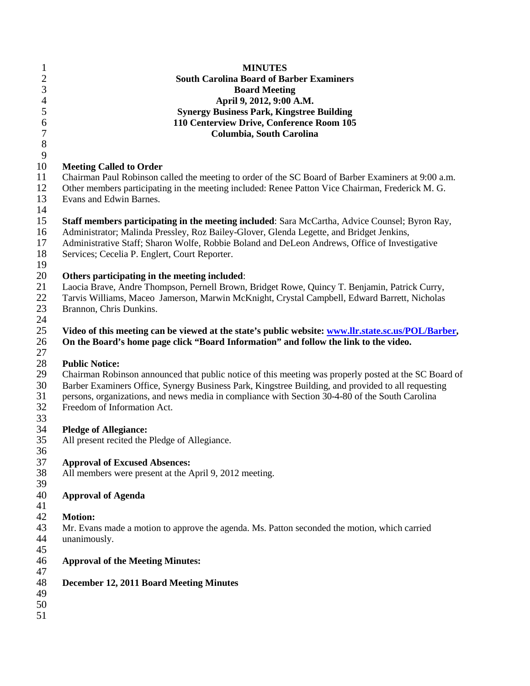| $\mathbf{1}$   | <b>MINUTES</b>                                                                                        |
|----------------|-------------------------------------------------------------------------------------------------------|
|                | <b>South Carolina Board of Barber Examiners</b>                                                       |
| $\frac{2}{3}$  | <b>Board Meeting</b>                                                                                  |
| $\overline{4}$ | April 9, 2012, 9:00 A.M.                                                                              |
|                |                                                                                                       |
| 5              | <b>Synergy Business Park, Kingstree Building</b>                                                      |
| 6              | 110 Centerview Drive, Conference Room 105                                                             |
| $\overline{7}$ | Columbia, South Carolina                                                                              |
| 8              |                                                                                                       |
| 9              |                                                                                                       |
| 10             | <b>Meeting Called to Order</b>                                                                        |
| 11             | Chairman Paul Robinson called the meeting to order of the SC Board of Barber Examiners at 9:00 a.m.   |
| 12             |                                                                                                       |
|                | Other members participating in the meeting included: Renee Patton Vice Chairman, Frederick M. G.      |
| 13             | Evans and Edwin Barnes.                                                                               |
| 14             |                                                                                                       |
| 15             | <b>Staff members participating in the meeting included:</b> Sara McCartha, Advice Counsel; Byron Ray, |
| 16             | Administrator; Malinda Pressley, Roz Bailey-Glover, Glenda Legette, and Bridget Jenkins,              |
| 17             | Administrative Staff; Sharon Wolfe, Robbie Boland and DeLeon Andrews, Office of Investigative         |
| 18             | Services; Cecelia P. Englert, Court Reporter.                                                         |
| 19             |                                                                                                       |
| 20             | Others participating in the meeting included:                                                         |
|                |                                                                                                       |
| 21             | Laocia Brave, Andre Thompson, Pernell Brown, Bridget Rowe, Quincy T. Benjamin, Patrick Curry,         |
| 22             | Tarvis Williams, Maceo Jamerson, Marwin McKnight, Crystal Campbell, Edward Barrett, Nicholas          |
| 23             | Brannon, Chris Dunkins.                                                                               |
| 24             |                                                                                                       |
| 25             | Video of this meeting can be viewed at the state's public website: www.llr.state.sc.us/POL/Barber,    |
| 26             | On the Board's home page click "Board Information" and follow the link to the video.                  |
| 27             |                                                                                                       |
| 28             | <b>Public Notice:</b>                                                                                 |
| 29             | Chairman Robinson announced that public notice of this meeting was properly posted at the SC Board of |
|                |                                                                                                       |
| 30             | Barber Examiners Office, Synergy Business Park, Kingstree Building, and provided to all requesting    |
| 31             | persons, organizations, and news media in compliance with Section 30-4-80 of the South Carolina       |
| 32             | Freedom of Information Act.                                                                           |
| 33             |                                                                                                       |
| 34             | <b>Pledge of Allegiance:</b>                                                                          |
| 35             | All present recited the Pledge of Allegiance.                                                         |
| 36             |                                                                                                       |
| 37             | <b>Approval of Excused Absences:</b>                                                                  |
| 38             | All members were present at the April 9, 2012 meeting.                                                |
| 39             |                                                                                                       |
|                |                                                                                                       |
| 40             | <b>Approval of Agenda</b>                                                                             |
| 41             |                                                                                                       |
| 42             | <b>Motion:</b>                                                                                        |
| 43             | Mr. Evans made a motion to approve the agenda. Ms. Patton seconded the motion, which carried          |
| 44             | unanimously.                                                                                          |
| 45             |                                                                                                       |
| 46             | <b>Approval of the Meeting Minutes:</b>                                                               |
| 47             |                                                                                                       |
| 48             |                                                                                                       |
|                | December 12, 2011 Board Meeting Minutes                                                               |
| 49             |                                                                                                       |
| 50             |                                                                                                       |
| 51             |                                                                                                       |
|                |                                                                                                       |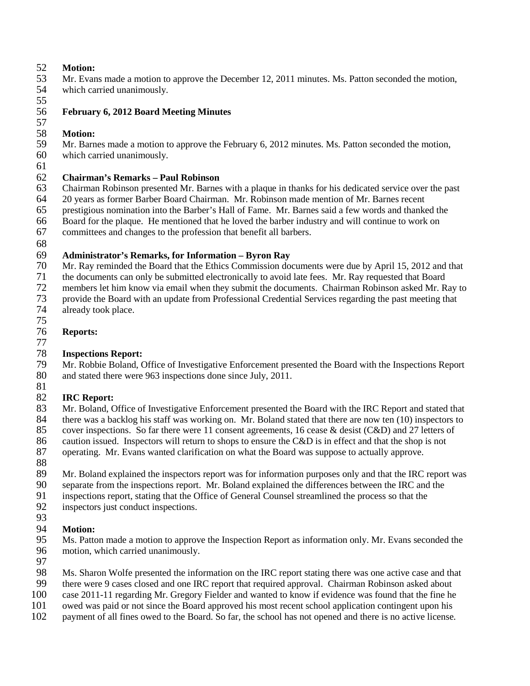# 52 **Motion:**

- Mr. Evans made a motion to approve the December 12, 2011 minutes. Ms. Patton seconded the motion,
- 54 which carried unanimously.
- 55

## 56 **February 6, 2012 Board Meeting Minutes**

## 57

58 **Motion:** 59 Mr. Barnes made a motion to approve the February 6, 2012 minutes. Ms. Patton seconded the motion,<br>60 which carried unanimously.

- which carried unanimously.
- 61

### 62 **Chairman's Remarks – Paul Robinson**

63 Chairman Robinson presented Mr. Barnes with a plaque in thanks for his dedicated service over the past 64 20 years as former Barber Board Chairman. Mr. Robinson made mention of Mr. Barnes recent 65 prestigious nomination into the Barber's Hall of Fame. Mr. Barnes said a few words and thanked the

66 Board for the plaque. He mentioned that he loved the barber industry and will continue to work on

67 committees and changes to the profession that benefit all barbers.

68

### 69 **Administrator's Remarks, for Information – Byron Ray**

70 Mr. Ray reminded the Board that the Ethics Commission documents were due by April 15, 2012 and that the documents can only be submitted electronically to avoid late fees. Mr. Ray requested that Board

71 the documents can only be submitted electronically to avoid late fees. Mr. Ray requested that Board<br>72 members let him know via email when they submit the documents. Chairman Robinson asked Mr. R

72 members let him know via email when they submit the documents. Chairman Robinson asked Mr. Ray to

- 73 provide the Board with an update from Professional Credential Services regarding the past meeting that already took place.
- 75

## **Reports:**

# 77

## 78 **Inspections Report:**

79 Mr. Robbie Boland, Office of Investigative Enforcement presented the Board with the Inspections Report 80 and stated there were 963 inspections done since July, 2011.

#### 81<br>82 82 **IRC Report:**

83 Mr. Boland, Office of Investigative Enforcement presented the Board with the IRC Report and stated that 84 there was a backlog his staff was working on. Mr. Boland stated that there are now ten (10) inspectors to<br>85 cover inspections. So far there were 11 consent agreements. 16 cease & desist (C&D) and 27 letters of cover inspections. So far there were 11 consent agreements, 16 cease  $\&$  desist (C&D) and 27 letters of 86 caution issued. Inspectors will return to shops to ensure the C&D is in effect and that the shop is not

87 operating. Mr. Evans wanted clarification on what the Board was suppose to actually approve.

88

89 Mr. Boland explained the inspectors report was for information purposes only and that the IRC report was

90 separate from the inspections report. Mr. Boland explained the differences between the IRC and the inspections report, stating that the Office of General Counsel streamlined the process so that the 91 inspections report, stating that the Office of General Counsel streamlined the process so that the inspectors inst conduct inspections.

inspectors just conduct inspections.

## 93

- 94 **Motion:** Ms. Patton made a motion to approve the Inspection Report as information only. Mr. Evans seconded the 96 motion, which carried unanimously.
- 97<br>98

Ms. Sharon Wolfe presented the information on the IRC report stating there was one active case and that

- 99 there were 9 cases closed and one IRC report that required approval. Chairman Robinson asked about case 2011-11 regarding Mr. Gregory Fielder and wanted to know if evidence was found that the fine he
- 100 case 2011-11 regarding Mr. Gregory Fielder and wanted to know if evidence was found that the fine he<br>101 owed was paid or not since the Board approved his most recent school application contingent upon his
- 101 owed was paid or not since the Board approved his most recent school application contingent upon his payment of all fines owed to the Board. So far, the school has not opened and there is no active license.
- payment of all fines owed to the Board. So far, the school has not opened and there is no active license.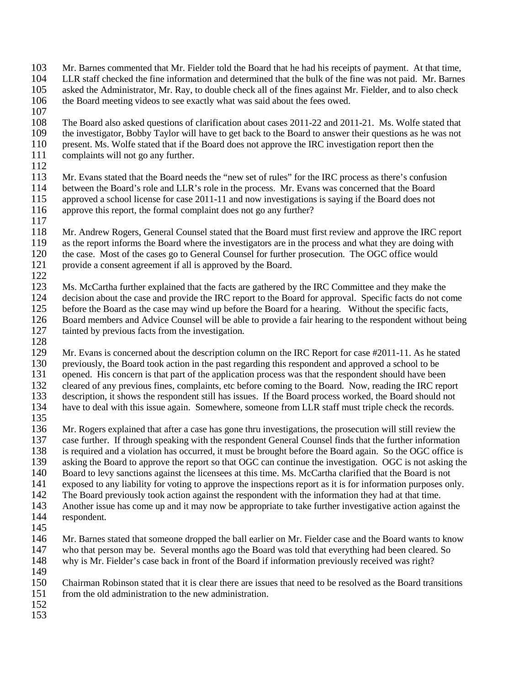- 103 Mr. Barnes commented that Mr. Fielder told the Board that he had his receipts of payment. At that time,<br>104 LLR staff checked the fine information and determined that the bulk of the fine was not paid. Mr. Barnes
- 104 LLR staff checked the fine information and determined that the bulk of the fine was not paid. Mr. Barnes
- 105 asked the Administrator, Mr. Ray, to double check all of the fines against Mr. Fielder, and to also check 106 the Board meeting videos to see exactly what was said about the fees owed.
- the Board meeting videos to see exactly what was said about the fees owed.
- 107
- 108 The Board also asked questions of clarification about cases 2011-22 and 2011-21. Ms. Wolfe stated that the investigator, Bobby Taylor will have to get back to the Board to answer their questions as he was not 109 the investigator, Bobby Taylor will have to get back to the Board to answer their questions as he was not 110 present. Ms. Wolfe stated that if the Board does not approve the IRC investigation report then the 110 present. Ms. Wolfe stated that if the Board does not approve the IRC investigation report then the complaints will not go any further. complaints will not go any further.
- 

 $\frac{112}{113}$ Mr. Evans stated that the Board needs the "new set of rules" for the IRC process as there's confusion 114 between the Board's role and LLR's role in the process. Mr. Evans was concerned that the Board 115 approved a school license for case 2011-11 and now investigations is saying if the Board does not 116 approve this report, the formal complaint does not go any further? approve this report, the formal complaint does not go any further?

- $\frac{117}{118}$
- Mr. Andrew Rogers, General Counsel stated that the Board must first review and approve the IRC report
- 119 as the report informs the Board where the investigators are in the process and what they are doing with
- 120 the case. Most of the cases go to General Counsel for further prosecution. The OGC office would<br>121 provide a consent agreement if all is approved by the Board. provide a consent agreement if all is approved by the Board.
- 

 $\frac{122}{123}$ 123 Ms. McCartha further explained that the facts are gathered by the IRC Committee and they make the 124 decision about the case and provide the IRC report to the Board for approval. Specific facts do not come<br>125 before the Board as the case may wind up before the Board for a hearing. Without the specific facts. 125 before the Board as the case may wind up before the Board for a hearing. Without the specific facts,<br>126 Board members and Advice Counsel will be able to provide a fair hearing to the respondent without b 126 Board members and Advice Counsel will be able to provide a fair hearing to the respondent without being 127 tainted by previous facts from the investigation.

128<br>129

Mr. Evans is concerned about the description column on the IRC Report for case  $#2011-11$ . As he stated 130 previously, the Board took action in the past regarding this respondent and approved a school to be opened. His concern is that part of the application process was that the respondent should have bee 131 opened. His concern is that part of the application process was that the respondent should have been<br>132 cleared of any previous fines, complaints, etc before coming to the Board. Now, reading the IRC rep 132 cleared of any previous fines, complaints, etc before coming to the Board. Now, reading the IRC report description, it shows the respondent still has issues. If the Board process worked, the Board should not description, it shows the respondent still has issues. If the Board process worked, the Board should not 134 have to deal with this issue again. Somewhere, someone from LLR staff must triple check the records.

135<br>136 136 Mr. Rogers explained that after a case has gone thru investigations, the prosecution will still review the 137 case further. If through speaking with the respondent General Counsel finds that the further information 138 is required and a violation has occurred, it must be brought before the Board again. So the OGC office is<br>139 asking the Board to approve the report so that OGC can continue the investigation. OGC is not asking the 139 asking the Board to approve the report so that OGC can continue the investigation. OGC is not asking the 140 Board to levy sanctions against the licensees at this time. Ms. McCartha clarified that the Board is not

- 140 Board to levy sanctions against the licensees at this time. Ms. McCartha clarified that the Board is not exposed to any liability for voting to approve the inspections report as it is for information purposes or exposed to any liability for voting to approve the inspections report as it is for information purposes only.
- 142 The Board previously took action against the respondent with the information they had at that time.
- 143 Another issue has come up and it may now be appropriate to take further investigative action against the
- 144 respondent.
- 145<br>146

146 Mr. Barnes stated that someone dropped the ball earlier on Mr. Fielder case and the Board wants to know<br>147 who that person may be. Several months ago the Board was told that everything had been cleared. So who that person may be. Several months ago the Board was told that everything had been cleared. So 148 why is Mr. Fielder's case back in front of the Board if information previously received was right?

- 149<br>150
- 150 Chairman Robinson stated that it is clear there are issues that need to be resolved as the Board transitions 151 from the old administration to the new administration.
- 152
- 153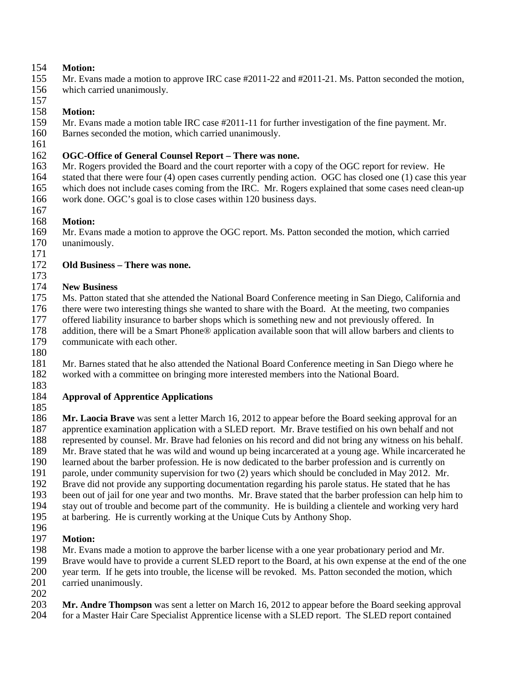# 154 **Motion:**

- Mr. Evans made a motion to approve IRC case #2011-22 and #2011-21. Ms. Patton seconded the motion,
- 156 which carried unanimously.

#### 157 158 **Motion:**

- 159 Mr. Evans made a motion table IRC case #2011-11 for further investigation of the fine payment. Mr. 160 Barnes seconded the motion, which carried unanimously.
- Barnes seconded the motion, which carried unanimously.
- 161<br>162

# 162 **OGC-Office of General Counsel Report – There was none.**

- Mr. Rogers provided the Board and the court reporter with a copy of the OGC report for review. He
- 164 stated that there were four (4) open cases currently pending action. OGC has closed one (1) case this year
- 165 which does not include cases coming from the IRC. Mr. Rogers explained that some cases need clean-up
- 166 work done. OGC's goal is to close cases within 120 business days.
- 167
- 168 **Motion:** Mr. Evans made a motion to approve the OGC report. Ms. Patton seconded the motion, which carried 170 unanimously.
- 

### $\frac{171}{172}$ 172 **Old Business – There was none.**

 $\frac{173}{174}$ 

### **New Business**

- 175 Ms. Patton stated that she attended the National Board Conference meeting in San Diego, California and 176 there were two interesting things she wanted to share with the Board. At the meeting, two companies offered liability insurance to barber shops which is something new and not previously offered. In offered liability insurance to barber shops which is something new and not previously offered. In 178 addition, there will be a Smart Phone® application available soon that will allow barbers and clients to
- 179 communicate with each other.
- 180

181 Mr. Barnes stated that he also attended the National Board Conference meeting in San Diego where he worked with a committee on bringing more interested members into the National Board. worked with a committee on bringing more interested members into the National Board.

183<br>184

#### 184 **Approval of Apprentice Applications** 185

**186 Mr. Laocia Brave** was sent a letter March 16, 2012 to appear before the Board seeking approval for an approval for an approval for an approval for an approval for an approval for an application with a SLED report. Mr. apprentice examination application with a SLED report. Mr. Brave testified on his own behalf and not 188 represented by counsel. Mr. Brave had felonies on his record and did not bring any witness on his behalf. 189 Mr. Brave stated that he was wild and wound up being incarcerated at a young age. While incarcerated he<br>190 learned about the barber profession. He is now dedicated to the barber profession and is currently on 190 learned about the barber profession. He is now dedicated to the barber profession and is currently on parole, under community supervision for two (2) years which should be concluded in May 2012. Mr. 191 parole, under community supervision for two (2) years which should be concluded in May 2012. Mr.<br>192 Brave did not provide any supporting documentation regarding his parole status. He stated that he has 192 Brave did not provide any supporting documentation regarding his parole status. He stated that he has 193 been out of jail for one year and two months. Mr. Brave stated that the barber profession can help him to

- 194 stay out of trouble and become part of the community. He is building a clientele and working very hard
- 195 at barbering. He is currently working at the Unique Cuts by Anthony Shop.

# 196<br>197

- 197 **Motion:**
- 198 Mr. Evans made a motion to approve the barber license with a one year probationary period and Mr.<br>199 Brave would have to provide a current SLED report to the Board, at his own expense at the end of the
- 199 Brave would have to provide a current SLED report to the Board, at his own expense at the end of the one year term. If he gets into trouble, the license will be revoked. Ms. Patton seconded the motion, which year term. If he gets into trouble, the license will be revoked. Ms. Patton seconded the motion, which
- 201 carried unanimously.
- 202
- 203 **Mr. Andre Thompson** was sent a letter on March 16, 2012 to appear before the Board seeking approval for a Master Hair Care Specialist Apprentice license with a SLED report. The SLED report contained 204 for a Master Hair Care Specialist Apprentice license with a SLED report. The SLED report contained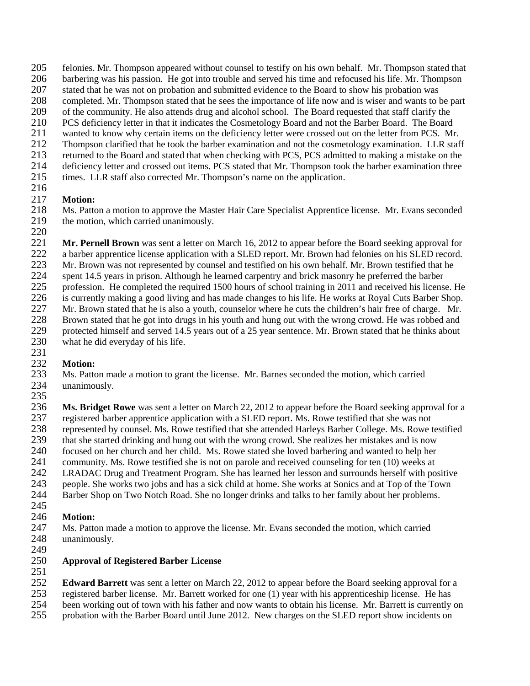- 205 felonies. Mr. Thompson appeared without counsel to testify on his own behalf. Mr. Thompson stated that 206 barbering was his passion. He got into trouble and served his time and refocused his life. Mr. Thompson
- 206 barbering was his passion. He got into trouble and served his time and refocused his life. Mr. Thompson
- 207 stated that he was not on probation and submitted evidence to the Board to show his probation was completed. Mr. Thompson stated that he sees the importance of life now and is wiser and wants to l
- 208 completed. Mr. Thompson stated that he sees the importance of life now and is wiser and wants to be part<br>209 of the community. He also attends drug and alcohol school. The Board requested that staff clarify the
- of the community. He also attends drug and alcohol school. The Board requested that staff clarify the
- 210 PCS deficiency letter in that it indicates the Cosmetology Board and not the Barber Board. The Board wanted to know why certain items on the deficiency letter were crossed out on the letter from PCS. Mi
- 211 wanted to know why certain items on the deficiency letter were crossed out on the letter from PCS. Mr.<br>212 Thompson clarified that he took the barber examination and not the cosmetology examination. LLR staf
- 212 Thompson clarified that he took the barber examination and not the cosmetology examination. LLR staff<br>213 returned to the Board and stated that when checking with PCS. PCS admitted to making a mistake on the 213 returned to the Board and stated that when checking with PCS, PCS admitted to making a mistake on the
- 214 deficiency letter and crossed out items. PCS stated that Mr. Thompson took the barber examination three
- 215 times. LLR staff also corrected Mr. Thompson's name on the application.

# 216

217 **Motion:** 218 Ms. Patton a motion to approve the Master Hair Care Specialist Apprentice license. Mr. Evans seconded the motion, which carried unanimously. the motion, which carried unanimously.

 $\frac{220}{221}$ 221 **Mr. Pernell Brown** was sent a letter on March 16, 2012 to appear before the Board seeking approval for a barber approval for a barber approval for a barber approval for a barber approval for a barber approval tions su 222 a barber apprentice license application with a SLED report. Mr. Brown had felonies on his SLED record.<br>223 Mr. Brown was not represented by counsel and testified on his own behalf. Mr. Brown testified that he

Mr. Brown was not represented by counsel and testified on his own behalf. Mr. Brown testified that he

224 spent 14.5 years in prison. Although he learned carpentry and brick masonry he preferred the barber<br>225 profession. He completed the required 1500 hours of school training in 2011 and received his licens

225 profession. He completed the required 1500 hours of school training in 2011 and received his license. He

226 is currently making a good living and has made changes to his life. He works at Royal Cuts Barber Shop.<br>227 Mr. Brown stated that he is also a vouth, counselor where he cuts the children's hair free of charge. Mr.

- 227 Mr. Brown stated that he is also a youth, counselor where he cuts the children's hair free of charge. Mr. 228 Brown stated that he got into drugs in his youth and hung out with the wrong crowd. He was robbed and 228 Brown stated that he got into drugs in his youth and hung out with the wrong crowd. He was robbed and protected himself and served 14.5 years out of a 25 year sentence. Mr. Brown stated that he thinks about
- 229 protected himself and served 14.5 years out of a 25 year sentence. Mr. Brown stated that he thinks about 230 what he did everyday of his life.
- 231<br>232

232 **Motion:** 233 Ms. Patton made a motion to grant the license. Mr. Barnes seconded the motion, which carried unanimously. unanimously.

235

236 **Ms. Bridget Rowe** was sent a letter on March 22, 2012 to appear before the Board seeking approval for a 237 registered barber apprentice application with a SLED report. Ms. Rowe testified that she was not<br>238 represented by counsel. Ms. Rowe testified that she attended Harleys Barber College. Ms. Rowe t 238 represented by counsel. Ms. Rowe testified that she attended Harleys Barber College. Ms. Rowe testified<br>239 that she started drinking and hung out with the wrong crowd. She realizes her mistakes and is now 239 that she started drinking and hung out with the wrong crowd. She realizes her mistakes and is now 240 focused on her church and her child. Ms. Rowe stated she loved barbering and wanted to help her community. Ms. Rowe testified she is not on parole and received counseling for ten (10) weeks at 241 community. Ms. Rowe testified she is not on parole and received counseling for ten (10) weeks at 242 LRADAC Drug and Treatment Program. She has learned her lesson and surrounds herself with po 242 LRADAC Drug and Treatment Program. She has learned her lesson and surrounds herself with positive people. She works two jobs and has a sick child at home. She works at Sonics and at Top of the Town 243 people. She works two jobs and has a sick child at home. She works at Sonics and at Top of the Town

- 244 Barber Shop on Two Notch Road. She no longer drinks and talks to her family about her problems.
- 245

## 246 **Motion:**

247 Ms. Patton made a motion to approve the license. Mr. Evans seconded the motion, which carried unanimously. unanimously.

249<br>250

## 250 **Approval of Registered Barber License**

 $\frac{251}{252}$ 

252 **Edward Barrett** was sent a letter on March 22, 2012 to appear before the Board seeking approval for a

- 253 registered barber license. Mr. Barrett worked for one (1) year with his apprenticeship license. He has
- 254 been working out of town with his father and now wants to obtain his license. Mr. Barrett is currently on probation with the Barber Board until June 2012. New charges on the SLED report show incidents on 255 probation with the Barber Board until June 2012. New charges on the SLED report show incidents on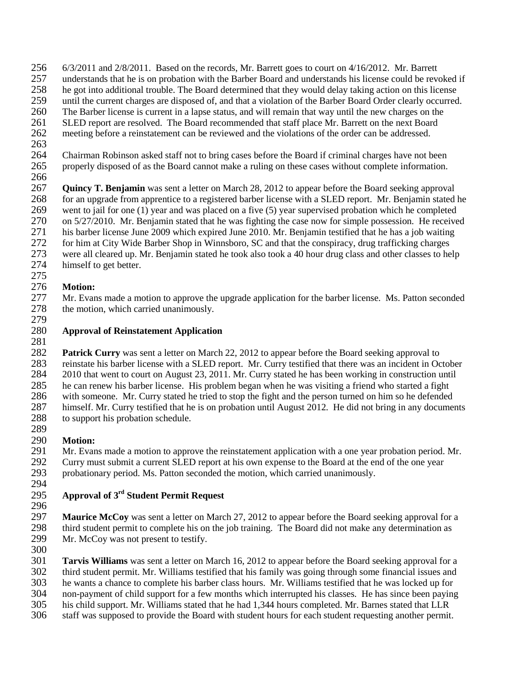- 256 6/3/2011 and 2/8/2011. Based on the records, Mr. Barrett goes to court on 4/16/2012. Mr. Barrett
- 257 understands that he is on probation with the Barber Board and understands his license could be revoked if
- 258 he got into additional trouble. The Board determined that they would delay taking action on this license<br>259 until the current charges are disposed of, and that a violation of the Barber Board Order clearly occurred
- 259 until the current charges are disposed of, and that a violation of the Barber Board Order clearly occurred.
- 260 The Barber license is current in a lapse status, and will remain that way until the new charges on the
- 261 SLED report are resolved. The Board recommended that staff place Mr. Barrett on the next Board<br>262 meeting before a reinstatement can be reviewed and the violations of the order can be addressed. meeting before a reinstatement can be reviewed and the violations of the order can be addressed.
- 263<br>264
- 264 Chairman Robinson asked staff not to bring cases before the Board if criminal charges have not been 265 properly disposed of as the Board cannot make a ruling on these cases without complete information.
- 266

267 **Quincy T. Benjamin** was sent a letter on March 28, 2012 to appear before the Board seeking approval 268 for an upgrade from apprentice to a registered barber license with a SLED report. Mr. Benjamin stated he went to jail for one (1) year and was placed on a five (5) year supervised probation which he completed 269 went to jail for one (1) year and was placed on a five (5) year supervised probation which he completed<br>270 on 5/27/2010. Mr. Benjamin stated that he was fighting the case now for simple possession. He receive 270 on 5/27/2010. Mr. Benjamin stated that he was fighting the case now for simple possession. He received<br>271 bis barber license June 2009 which expired June 2010. Mr. Benjamin testified that he has a job waiting his barber license June 2009 which expired June 2010. Mr. Benjamin testified that he has a job waiting 272 for him at City Wide Barber Shop in Winnsboro, SC and that the conspiracy, drug trafficking charges were all cleared up. Mr. Beniamin stated he took also took a 40 hour drug class and other classes to he 273 were all cleared up. Mr. Benjamin stated he took also took a 40 hour drug class and other classes to help himself to get better.

#### 275 276 **Motion:**

277 Mr. Evans made a motion to approve the upgrade application for the barber license. Ms. Patton seconded the motion, which carried unanimously. the motion, which carried unanimously. 279

## 280 **Approval of Reinstatement Application**

281

282 **Patrick Curry** was sent a letter on March 22, 2012 to appear before the Board seeking approval to 283 reinstate his barber license with a SLED report. Mr. Curry testified that there was an incident in October 284 2010 that went to court on August 23, 2011. Mr. Curry stated he has been working in construction until 284 2010 that went to court on August 23, 2011. Mr. Curry stated he has been working in construction until<br>285 because can renew his barber license. His problem began when he was visiting a friend who started a fight 285 he can renew his barber license. His problem began when he was visiting a friend who started a fight with someone. Mr. Curry stated he tried to stop the fight and the person turned on him so he defended with someone. Mr. Curry stated he tried to stop the fight and the person turned on him so he defended 287 himself. Mr. Curry testified that he is on probation until August 2012. He did not bring in any documents 288 to support his probation schedule.

#### 289<br>290 **Motion:**

291 Mr. Evans made a motion to approve the reinstatement application with a one year probation period. Mr.<br>292 Curry must submit a current SLED report at his own expense to the Board at the end of the one year 292 Curry must submit a current SLED report at his own expense to the Board at the end of the one year<br>293 probationary period. Ms. Patton seconded the motion, which carried unanimously. probationary period. Ms. Patton seconded the motion, which carried unanimously. 294

## **Approval of 3rd** 295 **Student Permit Request**

296

297 **Maurice McCoy** was sent a letter on March 27, 2012 to appear before the Board seeking approval for a 298 third student permit to complete his on the job training. The Board did not make any determination as Mr. McCoy was not present to testify. Mr. McCoy was not present to testify.

300<br>301 **Tarvis Williams** was sent a letter on March 16, 2012 to appear before the Board seeking approval for a third student permit. Mr. Williams testified that his family was going through some financial issues and he wants a chance to complete his barber class hours. Mr. Williams testified that he was locked up for non-payment of child support for a few months which interrupted his classes. He has since been paying his child support. Mr. Williams stated that he had 1,344 hours completed. Mr. Barnes stated that LLR staff was supposed to provide the Board with student hours for each student requesting another permit.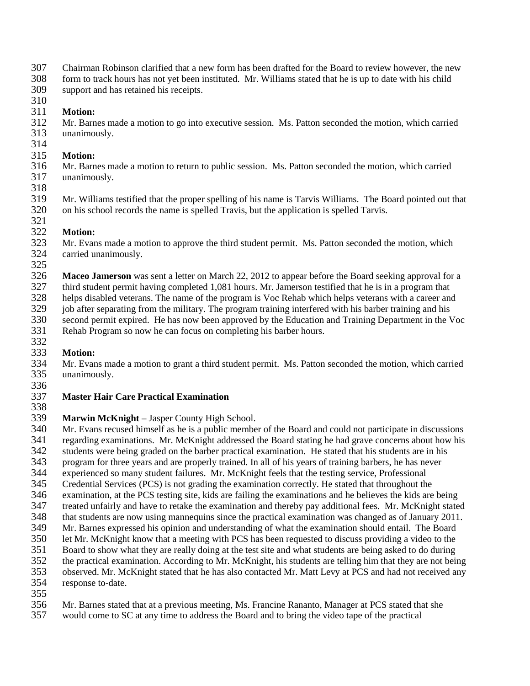- 307 Chairman Robinson clarified that a new form has been drafted for the Board to review however, the new form to track hours has not yet been instituted. Mr. Williams stated that he is up to date with his child
- form to track hours has not yet been instituted. Mr. Williams stated that he is up to date with his child 309 support and has retained his receipts.
- 310 311 **Motion:**
- 312 Mr. Barnes made a motion to go into executive session. Ms. Patton seconded the motion, which carried unanimously.
- $\frac{314}{315}$
- 315 **Motion:** Mr. Barnes made a motion to return to public session. Ms. Patton seconded the motion, which carried 317 unanimously.
- 318

319 Mr. Williams testified that the proper spelling of his name is Tarvis Williams. The Board pointed out that on his school records the name is spelled Travis, but the application is spelled Tarvis. 320 on his school records the name is spelled Travis, but the application is spelled Tarvis. 321

322 **Motion:** 323 Mr. Evans made a motion to approve the third student permit. Ms. Patton seconded the motion, which carried unanimously. carried unanimously.

325

**Maceo Jamerson** was sent a letter on March 22, 2012 to appear before the Board seeking approval for a third student permit having completed 1,081 hours. Mr. Jamerson testified that he is in a program that

327 third student permit having completed 1,081 hours. Mr. Jamerson testified that he is in a program that

328 helps disabled veterans. The name of the program is Voc Rehab which helps veterans with a career and<br>329 iob after separating from the military. The program training interfered with his barber training and his

329 job after separating from the military. The program training interfered with his barber training and his<br>330 second permit expired. He has now been approved by the Education and Training Department in the N second permit expired. He has now been approved by the Education and Training Department in the Voc

331 Rehab Program so now he can focus on completing his barber hours.

# 332<br>333

333 **Motion:** 334 Mr. Evans made a motion to grant a third student permit. Ms. Patton seconded the motion, which carried unanimously. unanimously.

336<br>337

#### 337 **Master Hair Care Practical Examination** 338

339 **Marwin McKnight** – Jasper County High School.<br>340 Mr. Evans recused himself as he is a public membe 340 Mr. Evans recused himself as he is a public member of the Board and could not participate in discussions 341 regarding examinations. Mr. McKnight addressed the Board stating he had grave concerns about how his

342 students were being graded on the barber practical examination. He stated that his students are in his program for three years and are properly trained. In all of his years of training barbers, he has never

- 
- 343 program for three years and are properly trained. In all of his years of training barbers, he has never<br>344 experienced so many student failures. Mr. McKnight feels that the testing service. Professional 344 experienced so many student failures. Mr. McKnight feels that the testing service, Professional 345 Credential Services (PCS) is not grading the examination correctly. He stated that throughout the

345 Credential Services (PCS) is not grading the examination correctly. He stated that throughout the

- 346 examination, at the PCS testing site, kids are failing the examinations and he believes the kids are being
- 347 treated unfairly and have to retake the examination and thereby pay additional fees. Mr. McKnight stated
- 348 that students are now using mannequins since the practical examination was changed as of January 2011.
- 349 Mr. Barnes expressed his opinion and understanding of what the examination should entail. The Board<br>350 let Mr. McKnight know that a meeting with PCS has been requested to discuss providing a video to the
- 350 let Mr. McKnight know that a meeting with PCS has been requested to discuss providing a video to the 351 Board to show what they are really doing at the test site and what students are being asked to do during 351 Board to show what they are really doing at the test site and what students are being asked to do during
- 
- 352 the practical examination. According to Mr. McKnight, his students are telling him that they are not being<br>353 observed. Mr. McKnight stated that he has also contacted Mr. Matt Levy at PCS and had not received any observed. Mr. McKnight stated that he has also contacted Mr. Matt Levy at PCS and had not received any
- 354 response to-date.
- 355
- 356 Mr. Barnes stated that at a previous meeting, Ms. Francine Rananto, Manager at PCS stated that she
- 357 would come to SC at any time to address the Board and to bring the video tape of the practical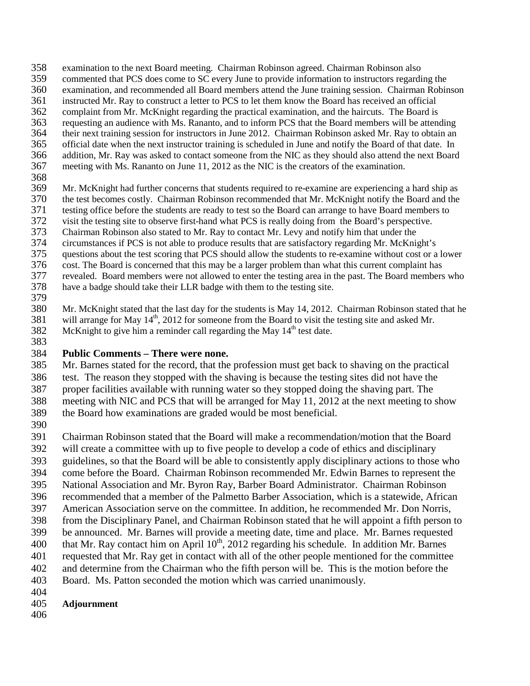- 358 examination to the next Board meeting. Chairman Robinson agreed. Chairman Robinson also<br>359 commented that PCS does come to SC every June to provide information to instructors regardi
- commented that PCS does come to SC every June to provide information to instructors regarding the
- examination, and recommended all Board members attend the June training session. Chairman Robinson
- instructed Mr. Ray to construct a letter to PCS to let them know the Board has received an official complaint from Mr. McKnight regarding the practical examination, and the haircuts. The Board is
- 
- 363 requesting an audience with Ms. Rananto, and to inform PCS that the Board members will be attending their next training session for instructors in June 2012. Chairman Robinson asked Mr. Ray to obtain an their next training session for instructors in June 2012. Chairman Robinson asked Mr. Ray to obtain an
- official date when the next instructor training is scheduled in June and notify the Board of that date. In
- addition, Mr. Ray was asked to contact someone from the NIC as they should also attend the next Board meeting with Ms. Rananto on June 11, 2012 as the NIC is the creators of the examination.
- 
- 369 Mr. McKnight had further concerns that students required to re-examine are experiencing a hard ship as the test becomes costly. Chairman Robinson recommended that Mr. McKnight notify the Board and the
- 370 the test becomes costly. Chairman Robinson recommended that Mr. McKnight notify the Board and the testing office before the students are ready to test so the Board can arrange to have Board members to
- 371 testing office before the students are ready to test so the Board can arrange to have Board members to<br>372 visit the testing site to observe first-hand what PCS is really doing from the Board's perspective.
- 372 visit the testing site to observe first-hand what PCS is really doing from the Board's perspective.<br>373 Chairman Robinson also stated to Mr. Ray to contact Mr. Levy and notify him that under the Chairman Robinson also stated to Mr. Ray to contact Mr. Levy and notify him that under the
- circumstances if PCS is not able to produce results that are satisfactory regarding Mr. McKnight's
- questions about the test scoring that PCS should allow the students to re-examine without cost or a lower
- cost. The Board is concerned that this may be a larger problem than what this current complaint has
- revealed. Board members were not allowed to enter the testing area in the past. The Board members who
- have a badge should take their LLR badge with them to the testing site.
- 
- 380 Mr. McKnight stated that the last day for the students is May 14, 2012. Chairman Robinson stated that he will arrange for May  $14^{\text{th}}$ , 2012 for someone from the Board to visit the testing site and asked Mr. will arrange for May 14<sup>th</sup>, 2012 for someone from the Board to visit the testing site and asked Mr. McKnight to give him a reminder call regarding the May  $14<sup>th</sup>$  test date.
- 

## **Public Comments – There were none.**

- Mr. Barnes stated for the record, that the profession must get back to shaving on the practical test. The reason they stopped with the shaving is because the testing sites did not have the
- proper facilities available with running water so they stopped doing the shaving part. The
- meeting with NIC and PCS that will be arranged for May 11, 2012 at the next meeting to show
- the Board how examinations are graded would be most beneficial.
- 

Chairman Robinson stated that the Board will make a recommendation/motion that the Board

- will create a committee with up to five people to develop a code of ethics and disciplinary
- guidelines, so that the Board will be able to consistently apply disciplinary actions to those who
- come before the Board. Chairman Robinson recommended Mr. Edwin Barnes to represent the
- National Association and Mr. Byron Ray, Barber Board Administrator. Chairman Robinson
- recommended that a member of the Palmetto Barber Association, which is a statewide, African
- American Association serve on the committee. In addition, he recommended Mr. Don Norris,
- from the Disciplinary Panel, and Chairman Robinson stated that he will appoint a fifth person to
- be announced. Mr. Barnes will provide a meeting date, time and place. Mr. Barnes requested
- 400 that Mr. Ray contact him on April  $10^{th}$ , 2012 regarding his schedule. In addition Mr. Barnes
- requested that Mr. Ray get in contact with all of the other people mentioned for the committee and determine from the Chairman who the fifth person will be. This is the motion before the
- Board. Ms. Patton seconded the motion which was carried unanimously.
- 
- **Adjournment**
-